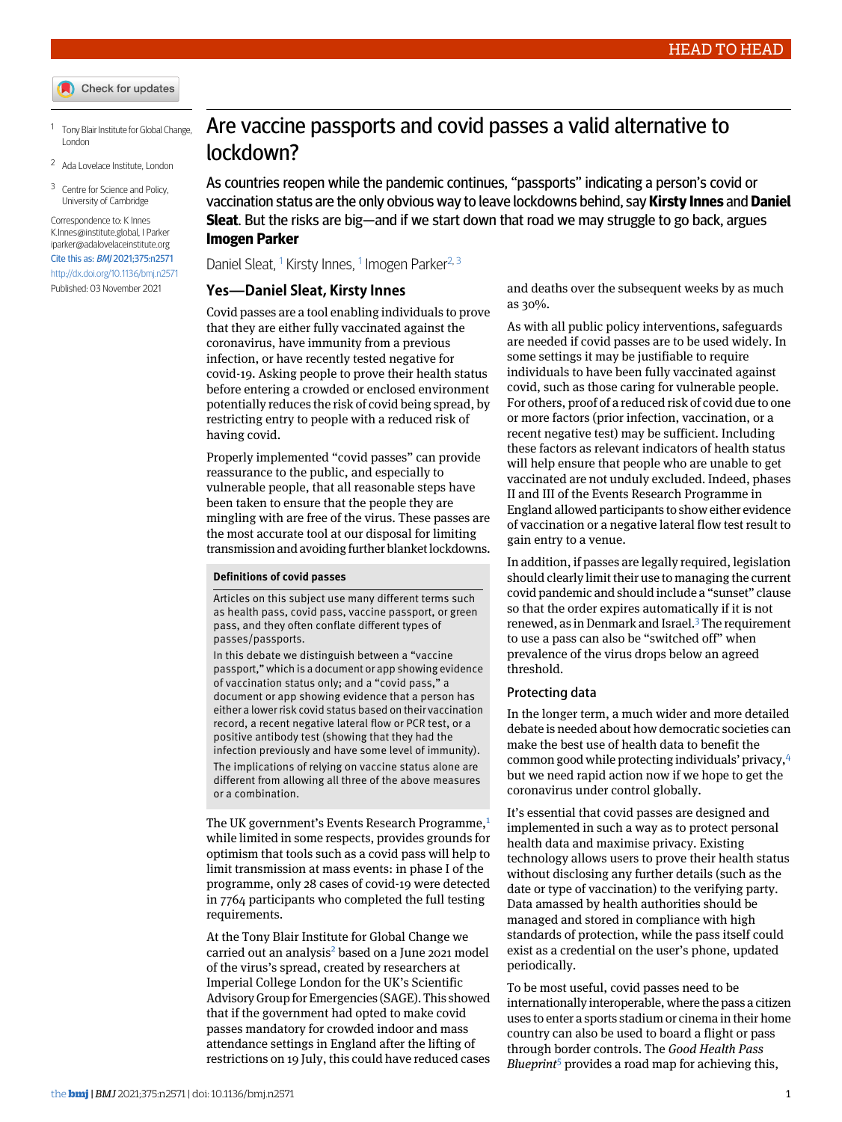<span id="page-0-1"></span><span id="page-0-0"></span>1 Tony Blair Institute for Global Change, London

<span id="page-0-2"></span><sup>2</sup> Ada Lovelace Institute, London

<sup>3</sup> Centre for Science and Policy, University of Cambridge

Correspondence to: K Innes [K.Innes@institute.global,](mailto:K.Innes@institute.global) I Parker [iparker@adalovelaceinstitute.org](mailto:iparker@adalovelaceinstitute.org) Cite this as: BMJ 2021;375:n2571 <http://dx.doi.org/10.1136/bmj.n2571> Published: 03 November 2021

# Are vaccine passports and covid passes a valid alternative to lockdown?

As countries reopen while the pandemic continues, "passports" indicating a person's covid or vaccination status are the only obvious way to leave lockdowns behind, say **Kirsty Innes** and **Daniel Sleat**. But the risks are big—and if we start down that road we may struggle to go back, argues **Imogen Parker**

Daniel Sleat, <sup>[1](#page-0-0)</sup> Kirsty Innes, <sup>1</sup> Imogen Parker<sup>[2,](#page-0-1) [3](#page-0-2)</sup>

#### **Yes—Daniel Sleat, Kirsty Innes**

Covid passes are a tool enabling individuals to prove that they are either fully vaccinated against the coronavirus, have immunity from a previous infection, or have recently tested negative for covid-19. Asking people to prove their health status before entering a crowded or enclosed environment potentially reduces the risk of covid being spread, by restricting entry to people with a reduced risk of having covid.

Properly implemented "covid passes" can provide reassurance to the public, and especially to vulnerable people, that all reasonable steps have been taken to ensure that the people they are mingling with are free of the virus. These passes are the most accurate tool at our disposal for limiting transmission and avoiding further blanket lockdowns.

## **Definitions of covid passes**

Articles on this subject use many different terms such as health pass, covid pass, vaccine passport, or green pass, and they often conflate different types of passes/passports.

In this debate we distinguish between a "vaccine passport,"which is a document or app showing evidence of vaccination status only; and a "covid pass," a document or app showing evidence that a person has either a lowerrisk covid status based on their vaccination record, a recent negative lateral flow or PCR test, or a positive antibody test (showing that they had the infection previously and have some level of immunity). The implications of relying on vaccine status alone are different from allowing all three of the above measures or a combination.

The UK government's Events Research Programme,<sup>[1](#page-1-0)</sup> while limited in some respects, provides grounds for optimism that tools such as a covid pass will help to limit transmission at mass events: in phase I of the programme, only 28 cases of covid-19 were detected in 7764 participants who completed the full testing requirements.

At the Tony Blair Institute for Global Change we carried out an analysis<sup>[2](#page-1-1)</sup> based on a June 2021 model of the virus's spread, created by researchers at Imperial College London for the UK's Scientific AdvisoryGroup for Emergencies (SAGE). This showed that if the government had opted to make covid passes mandatory for crowded indoor and mass attendance settings in England after the lifting of restrictions on 19 July, this could have reduced cases

and deaths over the subsequent weeks by as much as 30%.

As with all public policy interventions, safeguards are needed if covid passes are to be used widely. In some settings it may be justifiable to require individuals to have been fully vaccinated against covid, such as those caring for vulnerable people. For others, proof of a reduced risk of covid due to one or more factors (prior infection, vaccination, or a recent negative test) may be sufficient. Including these factors as relevant indicators of health status will help ensure that people who are unable to get vaccinated are not unduly excluded. Indeed, phases II and III of the Events Research Programme in England allowed participants to show either evidence of vaccination or a negative lateral flow test result to gain entry to a venue.

In addition, if passes are legally required, legislation should clearly limit their use to managing the current covid pandemic and should include a "sunset" clause so that the order expires automatically if it is not renewed, as in Denmark and Israel.<sup>[3](#page-1-2)</sup> The requirement to use a pass can also be "switched off" when prevalence of the virus drops below an agreed threshold.

#### Protecting data

In the longer term, a much wider and more detailed debate is needed about how democratic societies can make the best use of health data to benefit the common good while protecting individuals' privacy,[4](#page-1-3) but we need rapid action now if we hope to get the coronavirus under control globally.

It's essential that covid passes are designed and implemented in such a way as to protect personal health data and maximise privacy. Existing technology allows users to prove their health status without disclosing any further details (such as the date or type of vaccination) to the verifying party. Data amassed by health authorities should be managed and stored in compliance with high standards of protection, while the pass itself could exist as a credential on the user's phone, updated periodically.

To be most useful, covid passes need to be internationally interoperable, where the pass a citizen uses to enter a sports stadium or cinema in their home country can also be used to board a flight or pass through border controls. The *Good Health Pass Blueprint*[5](#page-1-4) provides a road map for achieving this,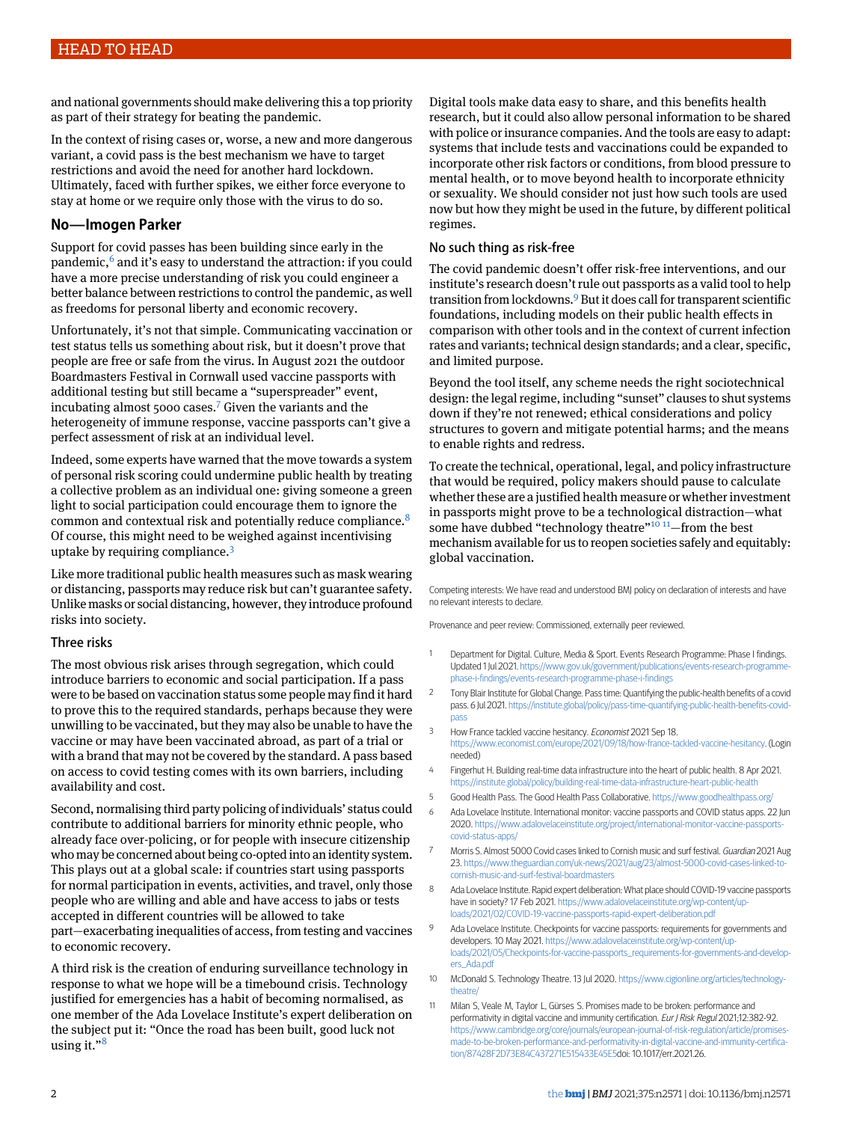and national governments should make delivering this a top priority as part of their strategy for beating the pandemic.

In the context of rising cases or, worse, a new and more dangerous variant, a covid pass is the best mechanism we have to target restrictions and avoid the need for another hard lockdown. Ultimately, faced with further spikes, we either force everyone to stay at home or we require only those with the virus to do so.

# **No—Imogen Parker**

Support for covid passes has been building since early in the pandemic,<sup>[6](#page-1-5)</sup> and it's easy to understand the attraction: if you could have a more precise understanding of risk you could engineer a better balance between restrictions to control the pandemic, as well as freedoms for personal liberty and economic recovery.

Unfortunately, it's not that simple. Communicating vaccination or test status tells us something about risk, but it doesn't prove that people are free or safe from the virus. In August 2021 the outdoor Boardmasters Festival in Cornwall used vaccine passports with additional testing but still became a "superspreader" event, incubating almost 5000 cases.<sup>[7](#page-1-6)</sup> Given the variants and the heterogeneity of immune response, vaccine passports can't give a perfect assessment of risk at an individual level.

Indeed, some experts have warned that the move towards a system of personal risk scoring could undermine public health by treating a collective problem as an individual one: giving someone a green light to social participation could encourage them to ignore the common and contextual risk and potentially reduce compliance.[8](#page-1-7) Of course, this might need to be weighed against incentivising uptake by requiring compliance.[3](#page-1-2)

Like more traditional public health measures such as mask wearing or distancing, passports may reduce risk but can't guarantee safety. Unlike masks or social distancing, however, they introduce profound risks into society.

## Three risks

The most obvious risk arises through segregation, which could introduce barriers to economic and social participation. If a pass were to be based on vaccination status some people may find it hard to prove this to the required standards, perhaps because they were unwilling to be vaccinated, but they may also be unable to have the vaccine or may have been vaccinated abroad, as part of a trial or with a brand that may not be covered by the standard. A pass based on access to covid testing comes with its own barriers, including availability and cost.

Second, normalising third party policing of individuals' status could contribute to additional barriers for minority ethnic people, who already face over-policing, or for people with insecure citizenship who may be concerned about being co-opted into an identity system. This plays out at a global scale: if countries start using passports for normal participation in events, activities, and travel, only those people who are willing and able and have access to jabs or tests accepted in different countries will be allowed to take part—exacerbating inequalities of access, from testing and vaccines to economic recovery.

A third risk is the creation of enduring surveillance technology in response to what we hope will be a timebound crisis. Technology justified for emergencies has a habit of becoming normalised, as one member of the Ada Lovelace Institute's expert deliberation on the subject put it: "Once the road has been built, good luck not using it."<sup>[8](#page-1-7)</sup>

Digital tools make data easy to share, and this benefits health research, but it could also allow personal information to be shared with police or insurance companies. And the tools are easy to adapt: systems that include tests and vaccinations could be expanded to incorporate other risk factors or conditions, from blood pressure to mental health, or to move beyond health to incorporate ethnicity or sexuality. We should consider not just how such tools are used now but how they might be used in the future, by different political regimes.

# No such thing as risk-free

The covid pandemic doesn't offer risk-free interventions, and our institute's research doesn't rule out passports as a valid tool to help transition from lockdowns.<sup>[9](#page-1-8)</sup> But it does call for transparent scientific foundations, including models on their public health effects in comparison with other tools and in the context of current infection rates and variants; technical design standards; and a clear, specific, and limited purpose.

Beyond the tool itself, any scheme needs the right sociotechnical design: the legal regime, including "sunset" clauses to shut systems down if they're not renewed; ethical considerations and policy structures to govern and mitigate potential harms; and the means to enable rights and redress.

To create the technical, operational, legal, and policy infrastructure that would be required, policy makers should pause to calculate whether these are a justified health measure or whether investment in passports might prove to be a technological distraction—what some have dubbed "technology theatre"<sup>[10](#page-1-9)</sup><sup>[11](#page-1-10)</sup>-from the best mechanism available for us to reopen societies safely and equitably: global vaccination.

<span id="page-1-0"></span>Competing interests: We have read and understood BMJ policy on declaration of interests and have no relevant interests to declare.

<span id="page-1-1"></span>Provenance and peer review: Commissioned, externally peer reviewed.

- <span id="page-1-2"></span>1 Department for Digital. Culture, Media & Sport. Events Research Programme: Phase I findings. Updated 1Jul 2021. [https://www.gov.uk/government/publications/events-research-programme](https://www.gov.uk/government/publications/events-research-programme-phase-i-findings/events-research-programme-phase-i-findings)[phase-i-findings/events-research-programme-phase-i-findings](https://www.gov.uk/government/publications/events-research-programme-phase-i-findings/events-research-programme-phase-i-findings)
- <span id="page-1-4"></span><span id="page-1-3"></span>2 Tony Blair Institute for Global Change. Passtime: Quantifying the public-health benefits of a covid pass. 6 Jul 2021. [https://institute.global/policy/pass-time-quantifying-public-health-benefits-covid](https://institute.global/policy/pass-time-quantifying-public-health-benefits-covid-pass)[pass](https://institute.global/policy/pass-time-quantifying-public-health-benefits-covid-pass)
- <span id="page-1-5"></span>3 How France tackled vaccine hesitancy. Economist 2021 Sep 18. <https://www.economist.com/europe/2021/09/18/how-france-tackled-vaccine-hesitancy>. (Login needed)
- <span id="page-1-6"></span>4 Fingerhut H. Building real-time data infrastructure into the heart of public health. 8 Apr 2021. <https://institute.global/policy/building-real-time-data-infrastructure-heart-public-health>
- <span id="page-1-7"></span>5 Good Health Pass. The Good Health Pass Collaborative. <https://www.goodhealthpass.org/>
- <span id="page-1-8"></span>6 Ada Lovelace Institute. International monitor: vaccine passports and COVID status apps. 22 Jun 2020. [https://www.adalovelaceinstitute.org/project/international-monitor-vaccine-passports](https://www.adalovelaceinstitute.org/project/international-monitor-vaccine-passports-covid-status-apps/)[covid-status-apps/](https://www.adalovelaceinstitute.org/project/international-monitor-vaccine-passports-covid-status-apps/)
- Morris S. Almost 5000 Covid cases linked to Cornish music and surf festival. Guardian 2021 Aug 23. [https://www.theguardian.com/uk-news/2021/aug/23/almost-5000-covid-cases-linked-to](https://www.theguardian.com/uk-news/2021/aug/23/almost-5000-covid-cases-linked-to-cornish-music-and-surf-festival-boardmasters)[cornish-music-and-surf-festival-boardmasters](https://www.theguardian.com/uk-news/2021/aug/23/almost-5000-covid-cases-linked-to-cornish-music-and-surf-festival-boardmasters)
- <span id="page-1-10"></span><span id="page-1-9"></span>8 Ada Lovelace Institute. Rapid expert deliberation: What place should COVID-19 vaccine passports have in society? 17 Feb 2021. https://www.adalovelaceinstitute.org/wp-content/up [loads/2021/02/COVID-19-vaccine-passports-rapid-expert-deliberation.pdf](https://www.adalovelaceinstitute.org/wp-content/uploads/2021/02/COVID-19-vaccine-passports-rapid-expert-deliberation.pdf)
- 9 Ada Lovelace Institute. Checkpoints for vaccine passports: requirements for governments and developers. 10 May 2021. [https://www.adalovelaceinstitute.org/wp-content/up](https://www.adalovelaceinstitute.org/wp-content/uploads/2021/05/Checkpoints-for-vaccine-passports_requirements-for-governments-and-developers_Ada.pdf)[loads/2021/05/Checkpoints-for-vaccine-passports\\_requirements-for-governments-and-develop](https://www.adalovelaceinstitute.org/wp-content/uploads/2021/05/Checkpoints-for-vaccine-passports_requirements-for-governments-and-developers_Ada.pdf)[ers\\_Ada.pdf](https://www.adalovelaceinstitute.org/wp-content/uploads/2021/05/Checkpoints-for-vaccine-passports_requirements-for-governments-and-developers_Ada.pdf)
- 10 McDonald S. Technology Theatre. 13 Jul 2020. [https://www.cigionline.org/articles/technology](https://www.cigionline.org/articles/technology-theatre/)[theatre/](https://www.cigionline.org/articles/technology-theatre/)
- 11 Milan S, Veale M, Taylor L, Gürses S. Promises made to be broken: performance and performativity in digital vaccine and immunity certification. Eur J Risk Regul 2021;12:382-92. [https://www.cambridge.org/core/journals/european-journal-of-risk-regulation/article/promises](https://www.cambridge.org/core/journals/european-journal-of-risk-regulation/article/promises-made-to-be-broken-performance-and-performativity-in-digital-vaccine-and-immunity-certification/87428F2D73E84C437271E515433E45E5)[made-to-be-broken-performance-and-performativity-in-digital-vaccine-and-immunity-certifica](https://www.cambridge.org/core/journals/european-journal-of-risk-regulation/article/promises-made-to-be-broken-performance-and-performativity-in-digital-vaccine-and-immunity-certification/87428F2D73E84C437271E515433E45E5)[tion/87428F2D73E84C437271E515433E45E5d](https://www.cambridge.org/core/journals/european-journal-of-risk-regulation/article/promises-made-to-be-broken-performance-and-performativity-in-digital-vaccine-and-immunity-certification/87428F2D73E84C437271E515433E45E5)oi: 10.1017/err.2021.26.